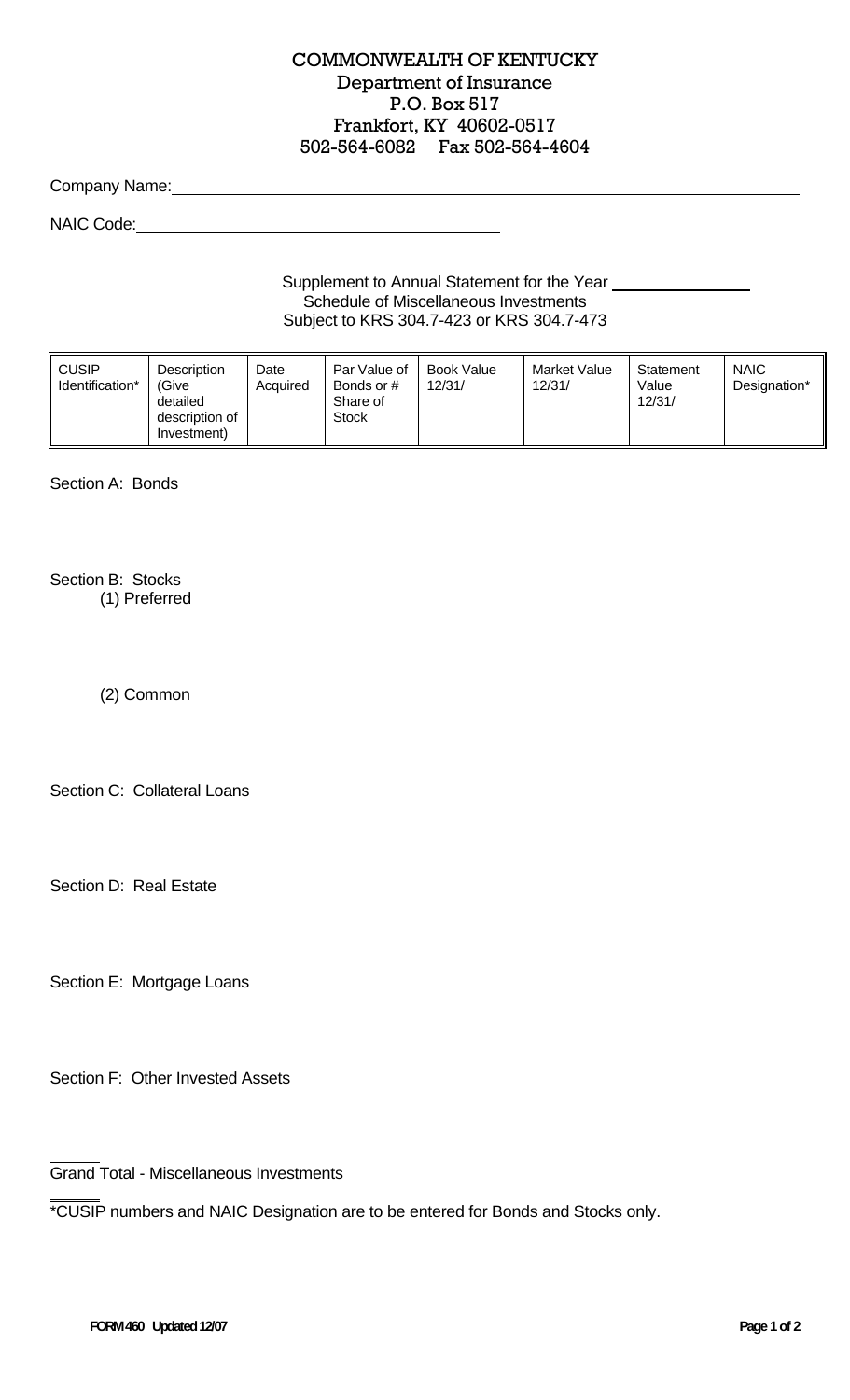## COMMONWEALTH OF KENTUCKY Department of Insurance P.O. Box 517 Frankfort, KY 40602-0517 502-564-6082 Fax 502-564-4604

Company Name:

NAIC Code:

Supplement to Annual Statement for the Year \_\_\_ Schedule of Miscellaneous Investments Subject to KRS 304.7-423 or KRS 304.7-473

| <b>CUSIP</b><br>Identification* | <b>Description</b><br><i>'Give</i><br>detailed<br>description of<br>Investment) | Date<br>Acquired | Par Value of<br>Bonds or #<br>Share of<br>Stock | Book Value<br>12/31/ | Market Value<br>12/31/ | Statement<br>Value<br>12/31/ | <b>NAIC</b><br>Designation* |
|---------------------------------|---------------------------------------------------------------------------------|------------------|-------------------------------------------------|----------------------|------------------------|------------------------------|-----------------------------|
|---------------------------------|---------------------------------------------------------------------------------|------------------|-------------------------------------------------|----------------------|------------------------|------------------------------|-----------------------------|

Section A: Bonds

Section B: Stocks (1) Preferred

(2) Common

Section C: Collateral Loans

Section D: Real Estate

Section E: Mortgage Loans

Section F: Other Invested Assets

Grand Total - Miscellaneous Investments

\*CUSIP numbers and NAIC Designation are to be entered for Bonds and Stocks only.